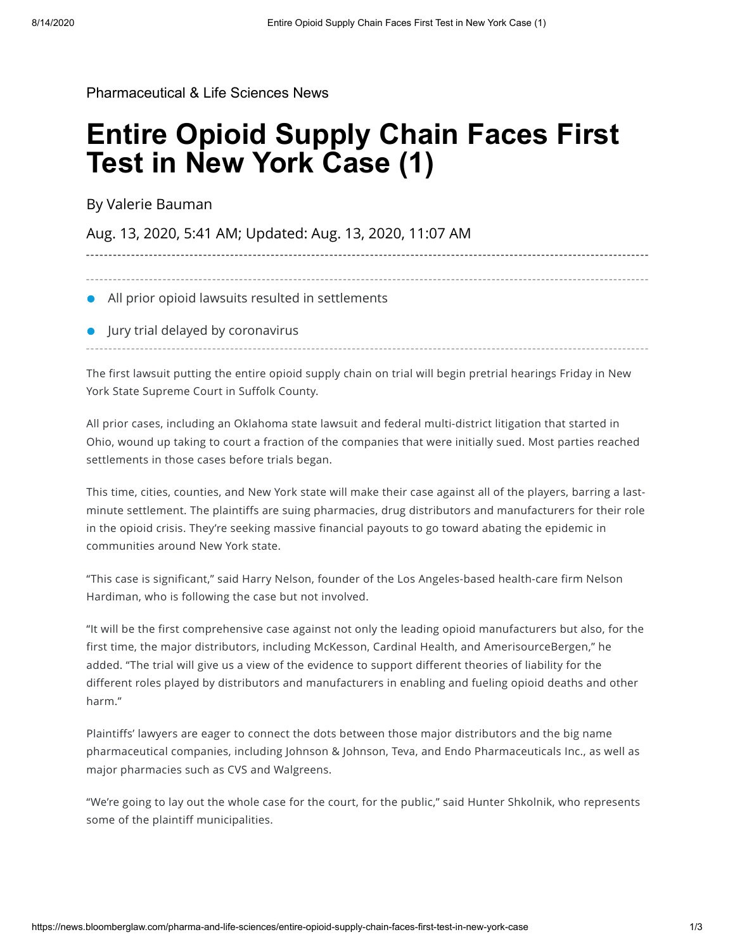[Pharmaceutical & Life Sciences News](https://news.bloomberglaw.com/pharma-and-life-sciences/)

## **Entire Opioid Supply Chain Faces First Test in New York Case (1)**

By [Valerie Bauman](mailto:vbauman@bloomberglaw.com)

Aug. 13, 2020, 5:41 AM; Updated: Aug. 13, 2020, 11:07 AM

- All prior opioid lawsuits resulted in settlements
- **•** Jury trial delayed by coronavirus

The first lawsuit putting the entire opioid supply chain on trial will begin pretrial hearings Friday in New York State Supreme Court in Suffolk County.

All prior cases, including an Oklahoma state lawsuit and federal multi-district litigation that started in Ohio, wound up taking to court a fraction of the companies that were initially sued. Most parties reached settlements in those cases before trials began.

This time, cities, counties, and New York state will make their case against all of the players, barring a lastminute settlement. The plaintiffs are suing pharmacies, drug distributors and manufacturers for their role in the opioid crisis. They're seeking massive financial payouts to go toward abating the epidemic in communities around New York state.

"This case is significant," said Harry Nelson, founder of the Los Angeles-based health-care firm Nelson Hardiman, who is following the case but not involved.

"It will be the first comprehensive case against not only the leading opioid manufacturers but also, for the first time, the major distributors, including McKesson, Cardinal Health, and AmerisourceBergen," he added. "The trial will give us a view of the evidence to support different theories of liability for the different roles played by distributors and manufacturers in enabling and fueling opioid deaths and other harm."

Plaintiffs' lawyers are eager to connect the dots between those major distributors and the big name pharmaceutical companies, including Johnson & Johnson, Teva, and Endo Pharmaceuticals Inc., as well as major pharmacies such as CVS and Walgreens.

"We're going to lay out the whole case for the court, for the public," said Hunter Shkolnik, who represents some of the plaintiff municipalities.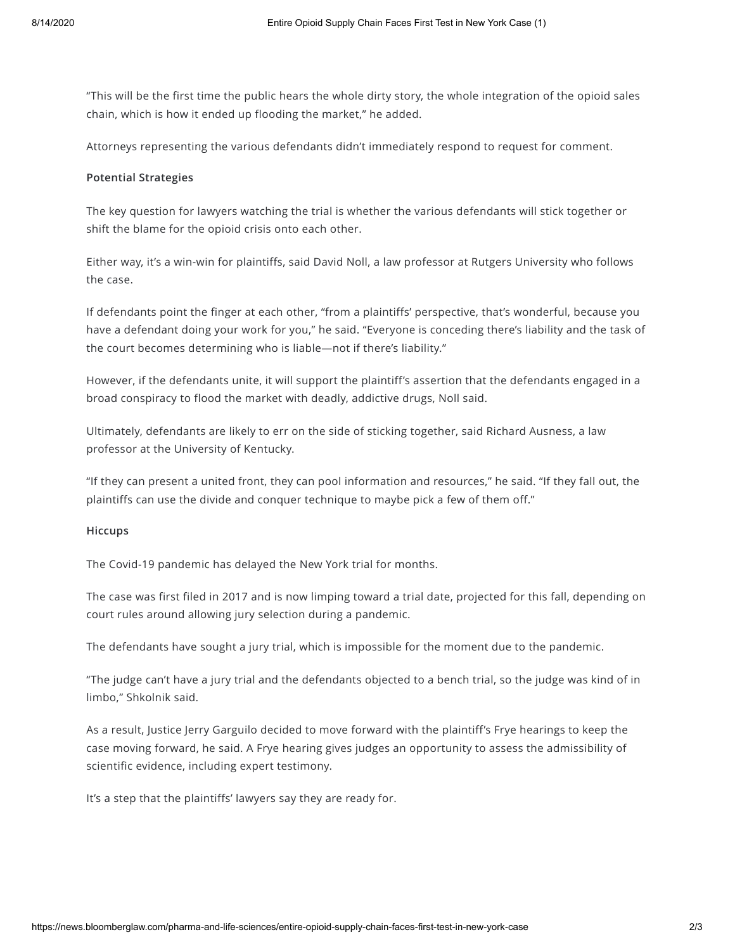"This will be the first time the public hears the whole dirty story, the whole integration of the opioid sales chain, which is how it ended up flooding the market," he added.

Attorneys representing the various defendants didn't immediately respond to request for comment.

## **Potential Strategies**

The key question for lawyers watching the trial is whether the various defendants will stick together or shift the blame for the opioid crisis onto each other.

Either way, it's a win-win for plaintiffs, said David Noll, a law professor at Rutgers University who follows the case.

If defendants point the finger at each other, "from a plaintiffs' perspective, that's wonderful, because you have a defendant doing your work for you," he said. "Everyone is conceding there's liability and the task of the court becomes determining who is liable—not if there's liability."

However, if the defendants unite, it will support the plaintiff's assertion that the defendants engaged in a broad conspiracy to flood the market with deadly, addictive drugs, Noll said.

Ultimately, defendants are likely to err on the side of sticking together, said Richard Ausness, a law professor at the University of Kentucky.

"If they can present a united front, they can pool information and resources," he said. "If they fall out, the plaintiffs can use the divide and conquer technique to maybe pick a few of them off."

## **Hiccups**

The Covid-19 pandemic has delayed the New York trial for months.

The case was first filed in 2017 and is now limping toward a trial date, projected for this fall, depending on court rules around allowing jury selection during a pandemic.

The defendants have sought a jury trial, which is impossible for the moment due to the pandemic.

"The judge can't have a jury trial and the defendants objected to a bench trial, so the judge was kind of in limbo," Shkolnik said.

As a result, Justice Jerry Garguilo decided to move forward with the plaintiff's Frye hearings to keep the case moving forward, he said. A Frye hearing gives judges an opportunity to assess the admissibility of scientific evidence, including expert testimony.

It's a step that the plaintiffs' lawyers say they are ready for.